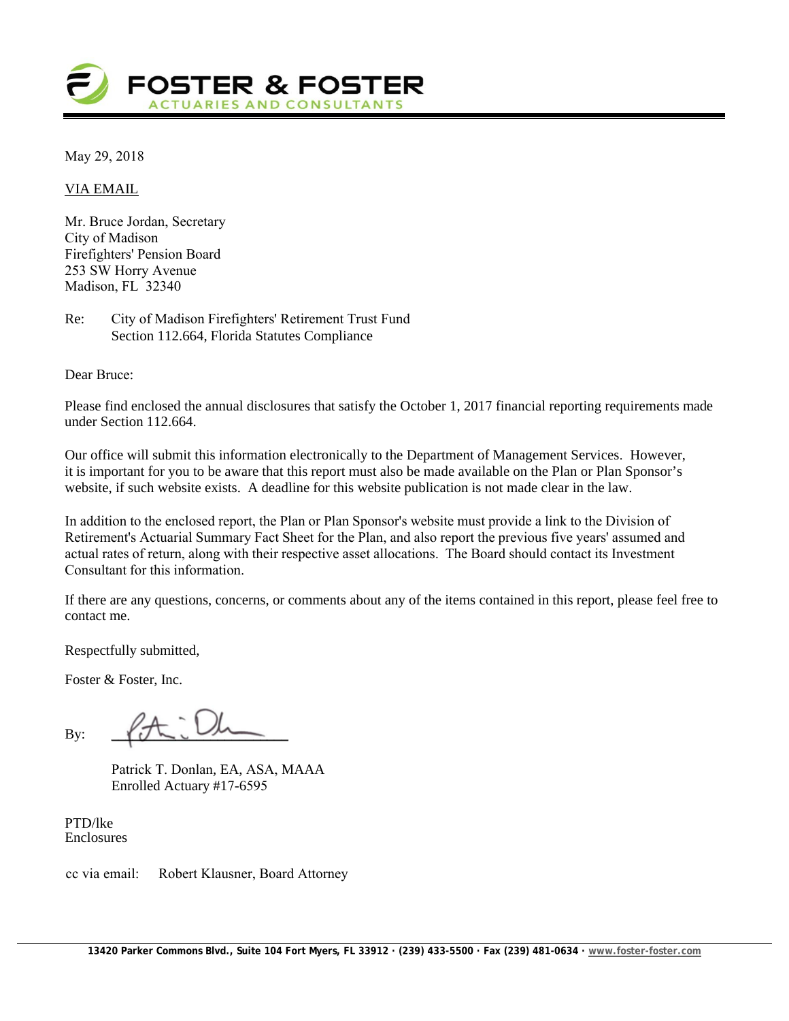

May 29, 2018

VIA EMAIL

Mr. Bruce Jordan, Secretary City of Madison Firefighters' Pension Board 253 SW Horry Avenue Madison, FL 32340

Re: City of Madison Firefighters' Retirement Trust Fund Section 112.664, Florida Statutes Compliance

Dear Bruce:

Please find enclosed the annual disclosures that satisfy the October 1, 2017 financial reporting requirements made under Section 112.664.

Our office will submit this information electronically to the Department of Management Services. However, it is important for you to be aware that this report must also be made available on the Plan or Plan Sponsor's website, if such website exists. A deadline for this website publication is not made clear in the law.

In addition to the enclosed report, the Plan or Plan Sponsor's website must provide a link to the Division of Retirement's Actuarial Summary Fact Sheet for the Plan, and also report the previous five years' assumed and actual rates of return, along with their respective asset allocations. The Board should contact its Investment Consultant for this information.

If there are any questions, concerns, or comments about any of the items contained in this report, please feel free to contact me.

Respectfully submitted,

Foster & Foster, Inc.

By:  $\sqrt{J}$ 

Patrick T. Donlan, EA, ASA, MAAA Enrolled Actuary #17-6595

PTD/lke Enclosures

cc via email: Robert Klausner, Board Attorney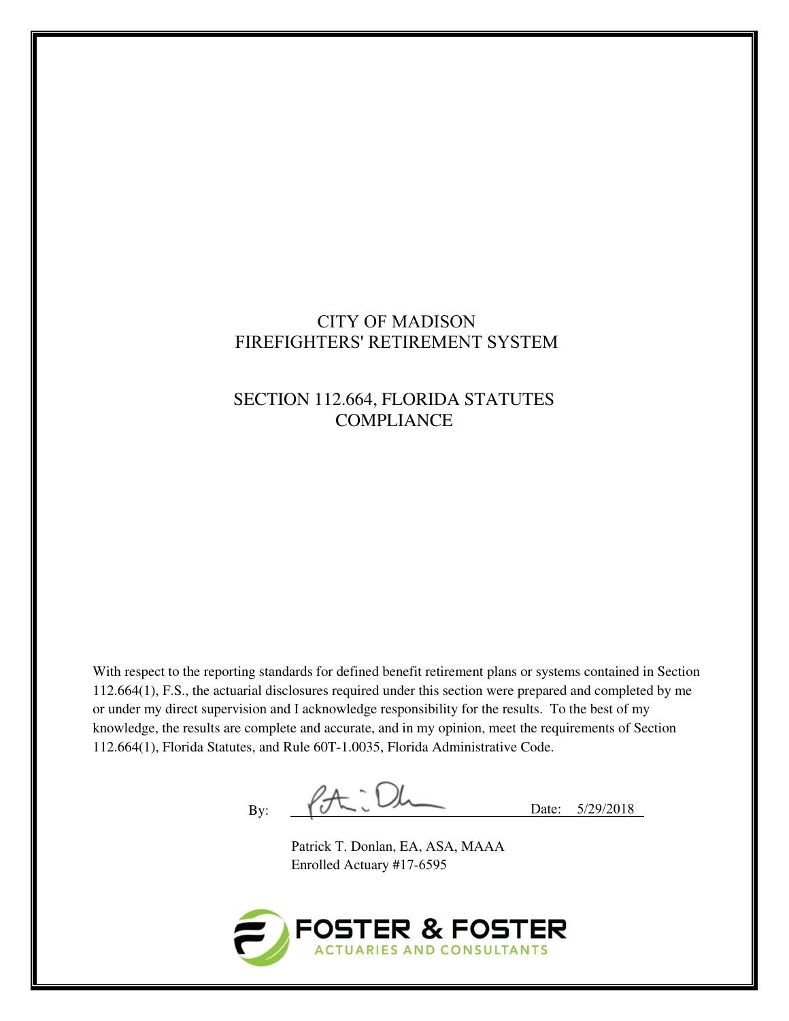## CITY OF MADISON FIREFIGHTERS' RETIREMENT SYSTEM

# SECTION 112.664, FLORIDA STATUTES **COMPLIANCE**

With respect to the reporting standards for defined benefit retirement plans or systems contained in Section 112.664(1), F.S., the actuarial disclosures required under this section were prepared and completed by me or under my direct supervision and I acknowledge responsibility for the results. To the best of my knowledge, the results are complete and accurate, and in my opinion, meet the requirements of Section 112.664(1), Florida Statutes, and Rule 60T-1.0035, Florida Administrative Code.

 $By:$   $\beta + \iota$  Dh Date:  $5/29/2018$ 

Patrick T. Donlan, EA, ASA, MAAA Enrolled Actuary #17-6595

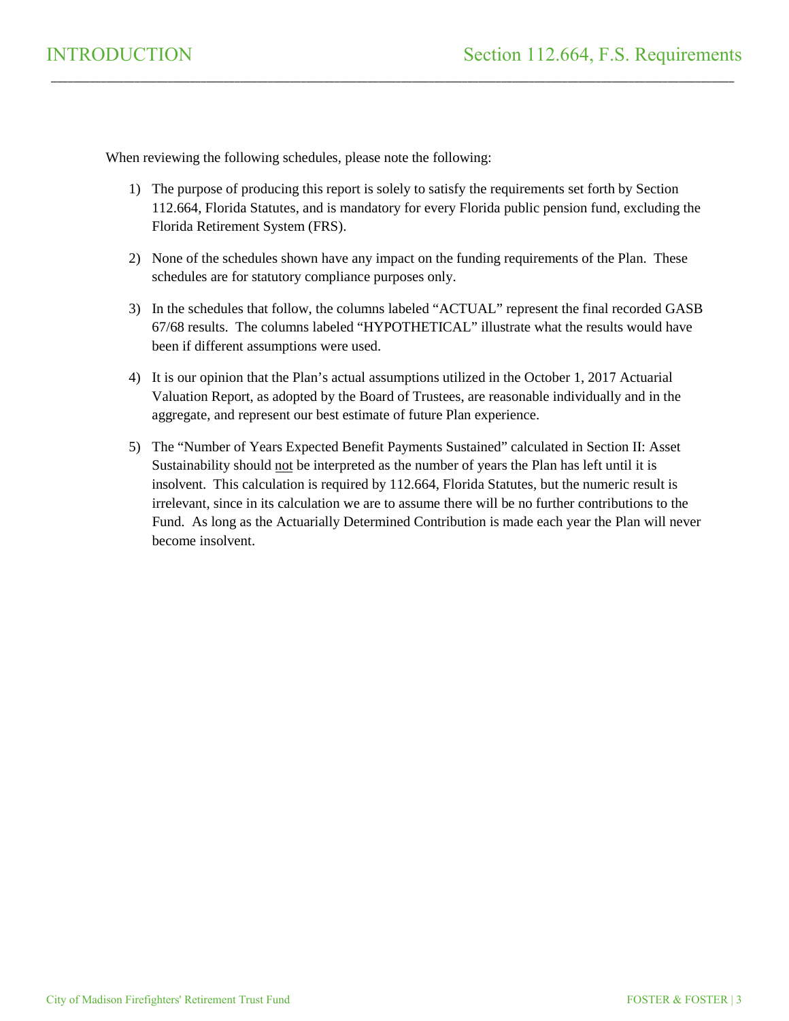When reviewing the following schedules, please note the following:

1) The purpose of producing this report is solely to satisfy the requirements set forth by Section 112.664, Florida Statutes, and is mandatory for every Florida public pension fund, excluding the Florida Retirement System (FRS).

\_\_\_\_\_\_\_\_\_\_\_\_\_\_\_\_\_\_\_\_\_\_\_\_\_\_\_\_\_\_\_\_\_\_\_\_\_\_\_\_\_\_\_\_\_\_\_\_\_\_\_\_\_\_\_\_\_\_\_\_\_\_\_\_\_\_\_\_\_\_\_\_\_\_\_\_\_\_\_\_\_\_\_\_\_\_\_\_\_\_\_\_\_\_\_\_\_\_\_\_\_\_\_\_\_\_\_\_\_\_\_\_\_\_\_\_\_\_\_\_\_\_\_

- 2) None of the schedules shown have any impact on the funding requirements of the Plan. These schedules are for statutory compliance purposes only.
- 3) In the schedules that follow, the columns labeled "ACTUAL" represent the final recorded GASB 67/68 results. The columns labeled "HYPOTHETICAL" illustrate what the results would have been if different assumptions were used.
- 4) It is our opinion that the Plan's actual assumptions utilized in the October 1, 2017 Actuarial Valuation Report, as adopted by the Board of Trustees, are reasonable individually and in the aggregate, and represent our best estimate of future Plan experience.
- 5) The "Number of Years Expected Benefit Payments Sustained" calculated in Section II: Asset Sustainability should not be interpreted as the number of years the Plan has left until it is insolvent. This calculation is required by 112.664, Florida Statutes, but the numeric result is irrelevant, since in its calculation we are to assume there will be no further contributions to the Fund. As long as the Actuarially Determined Contribution is made each year the Plan will never become insolvent.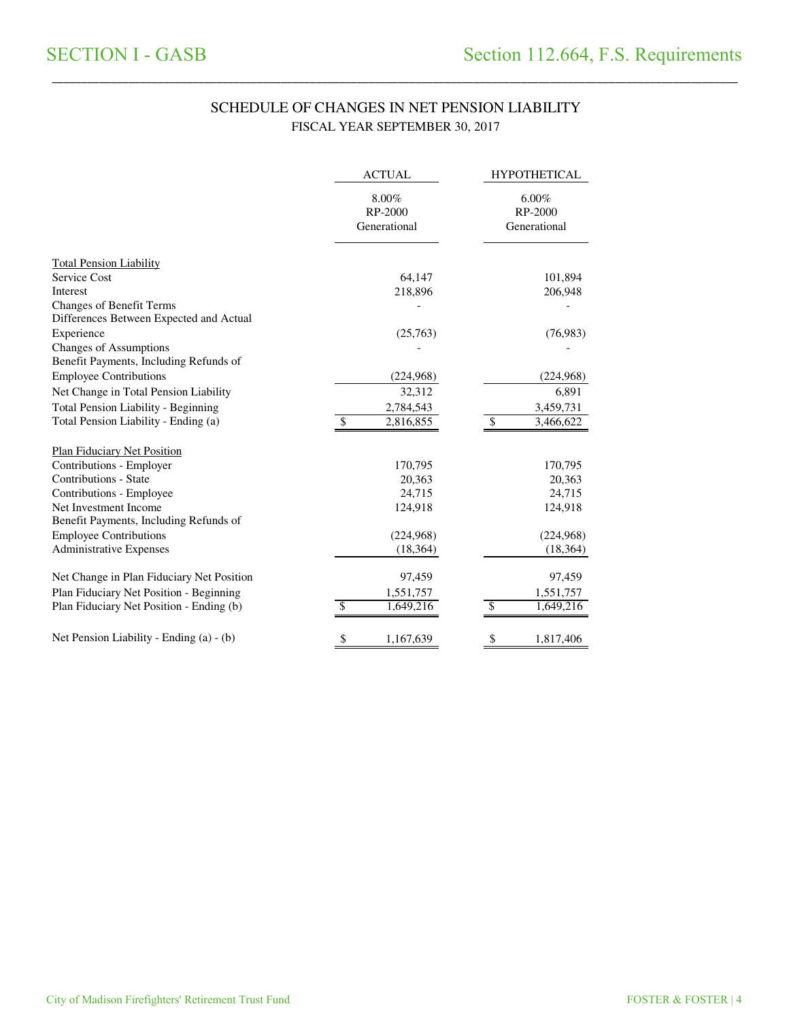### SCHEDULE OF CHANGES IN NET PENSION LIABILITY FISCAL YEAR SEPTEMBER 30, 2017

\_\_\_\_\_\_\_\_\_\_\_\_\_\_\_\_\_\_\_\_\_\_\_\_\_\_\_\_\_\_\_\_\_\_\_\_\_\_\_\_\_\_\_\_\_\_\_\_\_\_\_\_\_\_\_\_\_\_\_\_\_\_\_\_\_\_\_\_\_\_\_\_\_\_\_\_\_\_\_\_\_\_\_\_\_\_\_\_\_\_\_\_\_\_\_\_\_\_\_\_\_\_\_\_\_\_\_\_\_\_\_\_\_\_\_\_\_\_\_\_\_\_\_\_\_\_\_\_\_\_\_\_\_

|                                            | <b>ACTUAL</b>                       | <b>HYPOTHETICAL</b>              |  |
|--------------------------------------------|-------------------------------------|----------------------------------|--|
|                                            | $8.00\%$<br>RP-2000<br>Generational | 6.00%<br>RP-2000<br>Generational |  |
| <b>Total Pension Liability</b>             |                                     |                                  |  |
| Service Cost                               | 64,147                              | 101,894                          |  |
| Interest                                   | 218,896                             | 206,948                          |  |
| Changes of Benefit Terms                   |                                     |                                  |  |
| Differences Between Expected and Actual    |                                     |                                  |  |
| Experience                                 | (25,763)                            | (76,983)                         |  |
| <b>Changes of Assumptions</b>              |                                     |                                  |  |
| Benefit Payments, Including Refunds of     |                                     |                                  |  |
| <b>Employee Contributions</b>              | (224,968)                           | (224,968)                        |  |
| Net Change in Total Pension Liability      | 32,312                              | 6,891                            |  |
| <b>Total Pension Liability - Beginning</b> | 2,784,543                           | 3,459,731                        |  |
| Total Pension Liability - Ending (a)       | \$<br>2,816,855                     | \$<br>3,466,622                  |  |
| <b>Plan Fiduciary Net Position</b>         |                                     |                                  |  |
| Contributions - Employer                   | 170,795                             | 170,795                          |  |
| Contributions - State                      | 20,363                              | 20,363                           |  |
| Contributions - Employee                   | 24,715                              | 24,715                           |  |
| Net Investment Income                      | 124,918                             | 124,918                          |  |
| Benefit Payments, Including Refunds of     |                                     |                                  |  |
| <b>Employee Contributions</b>              | (224,968)                           | (224,968)                        |  |
| Administrative Expenses                    | (18, 364)                           | (18, 364)                        |  |
| Net Change in Plan Fiduciary Net Position  | 97,459                              | 97,459                           |  |
| Plan Fiduciary Net Position - Beginning    | 1,551,757                           | 1,551,757                        |  |
| Plan Fiduciary Net Position - Ending (b)   | \$<br>1,649,216                     | \$<br>1,649,216                  |  |
| Net Pension Liability - Ending (a) - (b)   | \$<br>1,167,639                     | \$<br>1,817,406                  |  |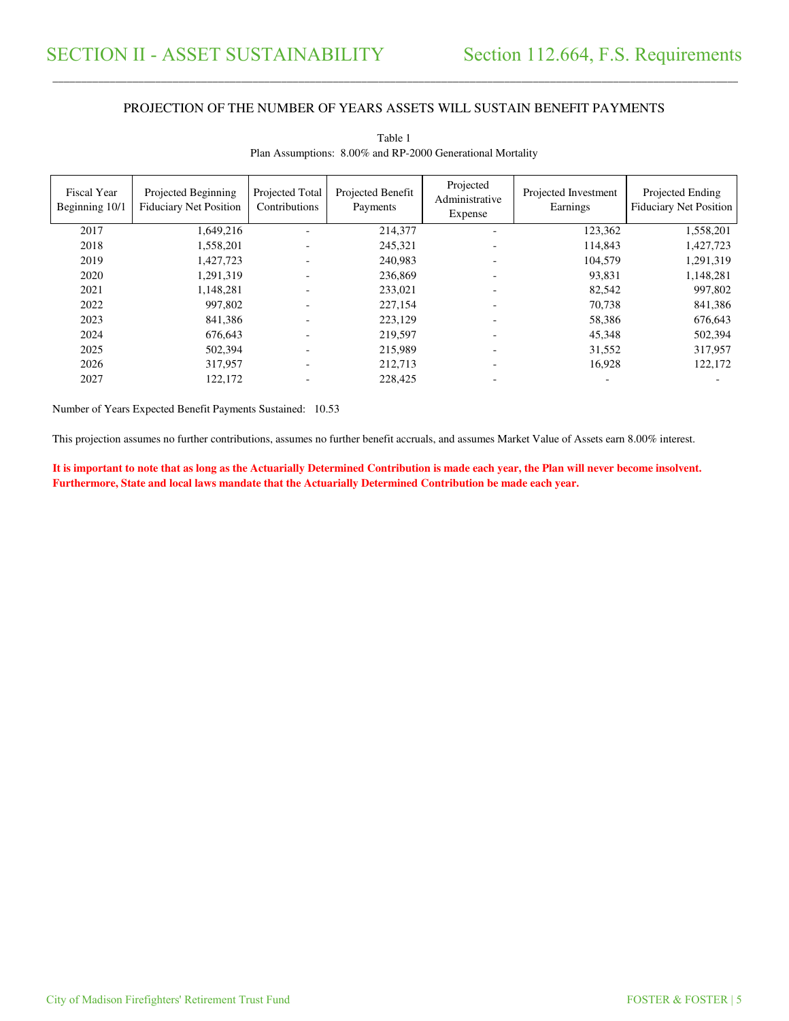#### PROJECTION OF THE NUMBER OF YEARS ASSETS WILL SUSTAIN BENEFIT PAYMENTS

\_\_\_\_\_\_\_\_\_\_\_\_\_\_\_\_\_\_\_\_\_\_\_\_\_\_\_\_\_\_\_\_\_\_\_\_\_\_\_\_\_\_\_\_\_\_\_\_\_\_\_\_\_\_\_\_\_\_\_\_\_\_\_\_\_\_\_\_\_\_\_\_\_\_\_\_\_\_\_\_\_\_\_\_\_\_\_\_\_\_\_\_\_\_\_\_\_\_\_\_\_\_\_\_\_\_\_\_\_\_\_\_\_\_\_\_\_\_\_\_\_\_\_\_\_\_\_\_\_\_\_\_\_\_\_\_\_\_\_\_\_\_\_\_\_\_\_\_\_\_

| <b>Fiscal Year</b><br>Beginning 10/1 | Projected Beginning<br><b>Fiduciary Net Position</b> | Projected Total<br>Contributions | Projected Benefit<br>Payments | Projected<br>Administrative<br>Expense | Projected Investment<br>Earnings | Projected Ending<br><b>Fiduciary Net Position</b> |
|--------------------------------------|------------------------------------------------------|----------------------------------|-------------------------------|----------------------------------------|----------------------------------|---------------------------------------------------|
| 2017                                 | 1,649,216                                            |                                  | 214,377                       |                                        | 123,362                          | 1,558,201                                         |
| 2018                                 | 1,558,201                                            |                                  | 245,321                       |                                        | 114,843                          | 1,427,723                                         |
| 2019                                 | 1,427,723                                            |                                  | 240,983                       |                                        | 104,579                          | 1,291,319                                         |
| 2020                                 | 1,291,319                                            |                                  | 236,869                       | -                                      | 93,831                           | 1,148,281                                         |
| 2021                                 | 1,148,281                                            |                                  | 233,021                       |                                        | 82,542                           | 997,802                                           |
| 2022                                 | 997,802                                              |                                  | 227,154                       |                                        | 70.738                           | 841,386                                           |
| 2023                                 | 841.386                                              |                                  | 223,129                       |                                        | 58,386                           | 676,643                                           |
| 2024                                 | 676,643                                              |                                  | 219,597                       | $\overline{\phantom{0}}$               | 45,348                           | 502,394                                           |
| 2025                                 | 502,394                                              |                                  | 215,989                       | ٠                                      | 31,552                           | 317,957                                           |
| 2026                                 | 317,957                                              |                                  | 212,713                       |                                        | 16,928                           | 122,172                                           |
| 2027                                 | 122.172                                              |                                  | 228,425                       |                                        |                                  |                                                   |

Table 1 Plan Assumptions: 8.00% and RP-2000 Generational Mortality

Number of Years Expected Benefit Payments Sustained: 10.53

This projection assumes no further contributions, assumes no further benefit accruals, and assumes Market Value of Assets earn 8.00% interest.

**It is important to note that as long as the Actuarially Determined Contribution is made each year, the Plan will never become insolvent. Furthermore, State and local laws mandate that the Actuarially Determined Contribution be made each year.**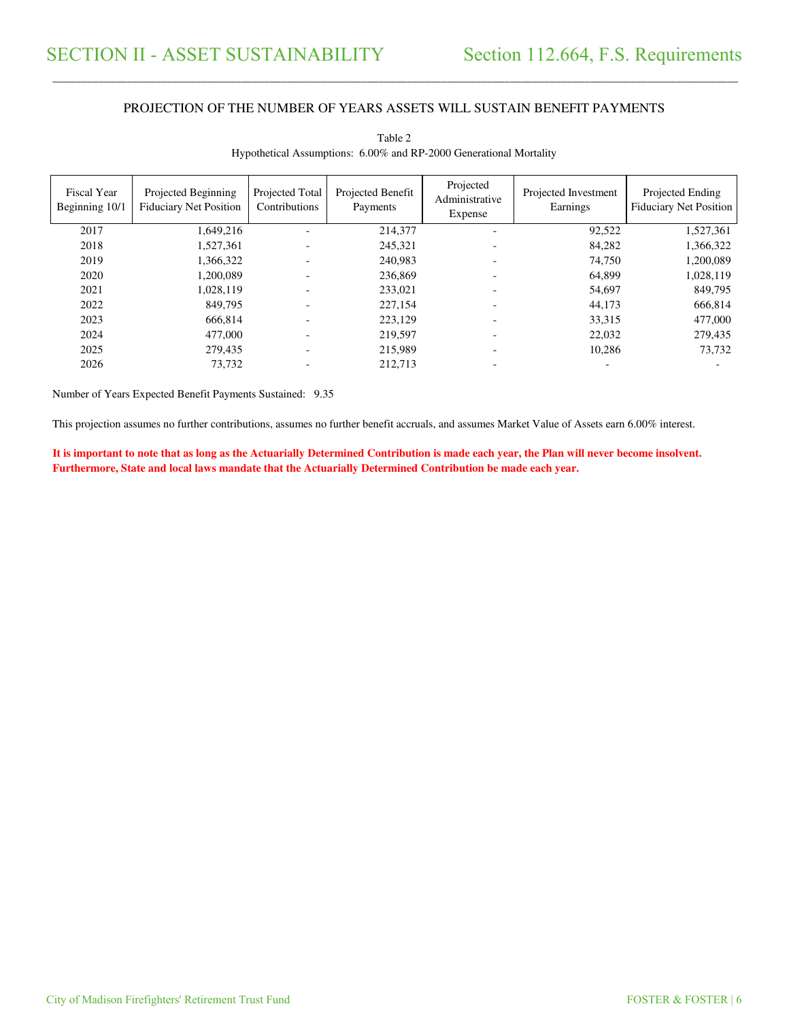#### PROJECTION OF THE NUMBER OF YEARS ASSETS WILL SUSTAIN BENEFIT PAYMENTS

\_\_\_\_\_\_\_\_\_\_\_\_\_\_\_\_\_\_\_\_\_\_\_\_\_\_\_\_\_\_\_\_\_\_\_\_\_\_\_\_\_\_\_\_\_\_\_\_\_\_\_\_\_\_\_\_\_\_\_\_\_\_\_\_\_\_\_\_\_\_\_\_\_\_\_\_\_\_\_\_\_\_\_\_\_\_\_\_\_\_\_\_\_\_\_\_\_\_\_\_\_\_\_\_\_\_\_\_\_\_\_\_\_\_\_\_\_\_\_\_\_\_\_\_\_\_\_\_\_\_\_\_\_\_\_\_\_\_\_\_\_\_\_\_\_\_\_\_\_\_

| <b>Fiscal Year</b><br>Beginning 10/1 | Projected Beginning<br><b>Fiduciary Net Position</b> | Projected Total<br>Contributions | Projected Benefit<br>Payments | Projected<br>Administrative<br>Expense | Projected Investment<br>Earnings | Projected Ending<br><b>Fiduciary Net Position</b> |
|--------------------------------------|------------------------------------------------------|----------------------------------|-------------------------------|----------------------------------------|----------------------------------|---------------------------------------------------|
| 2017                                 | 1,649,216                                            |                                  | 214,377                       |                                        | 92,522                           | 1,527,361                                         |
| 2018                                 | 1,527,361                                            |                                  | 245,321                       |                                        | 84,282                           | 1,366,322                                         |
| 2019                                 | 1,366,322                                            |                                  | 240.983                       |                                        | 74.750                           | 1,200,089                                         |
| 2020                                 | 1.200.089                                            |                                  | 236,869                       |                                        | 64,899                           | 1,028,119                                         |
| 2021                                 | 1,028,119                                            |                                  | 233,021                       |                                        | 54,697                           | 849,795                                           |
| 2022                                 | 849,795                                              |                                  | 227,154                       |                                        | 44,173                           | 666,814                                           |
| 2023                                 | 666.814                                              |                                  | 223,129                       |                                        | 33,315                           | 477,000                                           |
| 2024                                 | 477,000                                              |                                  | 219,597                       |                                        | 22,032                           | 279,435                                           |
| 2025                                 | 279.435                                              |                                  | 215,989                       |                                        | 10,286                           | 73,732                                            |
| 2026                                 | 73,732                                               |                                  | 212.713                       |                                        |                                  |                                                   |

Table 2 Hypothetical Assumptions: 6.00% and RP-2000 Generational Mortality

Number of Years Expected Benefit Payments Sustained: 9.35

This projection assumes no further contributions, assumes no further benefit accruals, and assumes Market Value of Assets earn 6.00% interest.

**It is important to note that as long as the Actuarially Determined Contribution is made each year, the Plan will never become insolvent. Furthermore, State and local laws mandate that the Actuarially Determined Contribution be made each year.**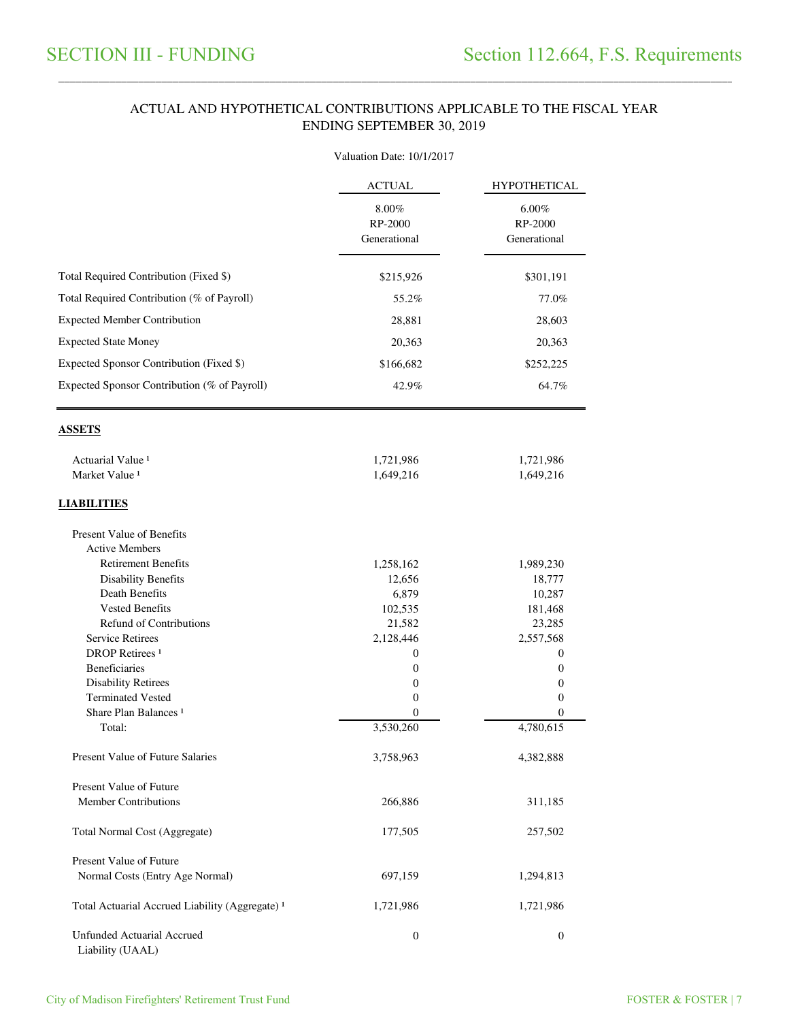#### ACTUAL AND HYPOTHETICAL CONTRIBUTIONS APPLICABLE TO THE FISCAL YEAR ENDING SEPTEMBER 30, 2019

\_\_\_\_\_\_\_\_\_\_\_\_\_\_\_\_\_\_\_\_\_\_\_\_\_\_\_\_\_\_\_\_\_\_\_\_\_\_\_\_\_\_\_\_\_\_\_\_\_\_\_\_\_\_\_\_\_\_\_\_\_\_\_\_\_\_\_\_\_\_\_\_\_\_\_\_\_\_\_\_\_\_\_\_\_\_\_\_\_\_\_\_\_\_\_\_\_\_\_\_\_\_\_\_\_\_\_\_\_\_\_\_\_\_\_\_\_\_\_\_\_\_\_\_\_\_\_\_\_\_\_\_\_\_\_\_\_\_\_\_\_\_\_\_\_\_\_\_\_\_

|                                                              | Valuation Date: 10/1/2017            |                                     |  |  |
|--------------------------------------------------------------|--------------------------------------|-------------------------------------|--|--|
|                                                              | <b>ACTUAL</b>                        | <b>HYPOTHETICAL</b>                 |  |  |
|                                                              | 8.00%<br>RP-2000<br>Generational     | $6.00\%$<br>RP-2000<br>Generational |  |  |
| Total Required Contribution (Fixed \$)                       | \$215,926                            | \$301,191                           |  |  |
| Total Required Contribution (% of Payroll)                   | 55.2%                                | 77.0%                               |  |  |
| <b>Expected Member Contribution</b>                          | 28,881                               | 28,603                              |  |  |
|                                                              |                                      |                                     |  |  |
| <b>Expected State Money</b>                                  | 20,363                               | 20,363                              |  |  |
| Expected Sponsor Contribution (Fixed \$)                     | \$166,682                            | \$252,225                           |  |  |
| Expected Sponsor Contribution (% of Payroll)                 | 42.9%                                | 64.7%                               |  |  |
| <b>ASSETS</b>                                                |                                      |                                     |  |  |
| Actuarial Value <sup>1</sup>                                 | 1,721,986                            | 1,721,986                           |  |  |
| Market Value <sup>1</sup>                                    | 1,649,216                            | 1,649,216                           |  |  |
| <b>LIABILITIES</b>                                           |                                      |                                     |  |  |
| <b>Present Value of Benefits</b><br><b>Active Members</b>    |                                      |                                     |  |  |
| <b>Retirement Benefits</b>                                   | 1,258,162                            | 1,989,230                           |  |  |
| <b>Disability Benefits</b>                                   | 12,656                               | 18,777                              |  |  |
| <b>Death Benefits</b>                                        | 6,879                                | 10,287                              |  |  |
| <b>Vested Benefits</b>                                       | 102,535                              | 181,468                             |  |  |
| <b>Refund of Contributions</b>                               | 21,582                               | 23,285                              |  |  |
| <b>Service Retirees</b><br><b>DROP</b> Retirees <sup>1</sup> | 2,128,446                            | 2,557,568                           |  |  |
| <b>Beneficiaries</b>                                         | $\boldsymbol{0}$<br>$\boldsymbol{0}$ | 0<br>0                              |  |  |
| <b>Disability Retirees</b>                                   | $\boldsymbol{0}$                     | 0                                   |  |  |
| <b>Terminated Vested</b>                                     | $\boldsymbol{0}$                     | 0                                   |  |  |
| Share Plan Balances <sup>1</sup>                             | $\boldsymbol{0}$                     | $\mathbf{0}$                        |  |  |
| Total:                                                       | 3,530,260                            | 4,780,615                           |  |  |
| Present Value of Future Salaries                             | 3,758,963                            | 4,382,888                           |  |  |
| Present Value of Future                                      |                                      |                                     |  |  |
| <b>Member Contributions</b>                                  | 266,886                              | 311,185                             |  |  |
| Total Normal Cost (Aggregate)                                | 177,505                              | 257,502                             |  |  |
| Present Value of Future                                      |                                      |                                     |  |  |
| Normal Costs (Entry Age Normal)                              | 697,159                              | 1,294,813                           |  |  |
| Total Actuarial Accrued Liability (Aggregate) <sup>1</sup>   | 1,721,986                            | 1,721,986                           |  |  |
| <b>Unfunded Actuarial Accrued</b><br>Liability (UAAL)        | $\boldsymbol{0}$                     | $\boldsymbol{0}$                    |  |  |